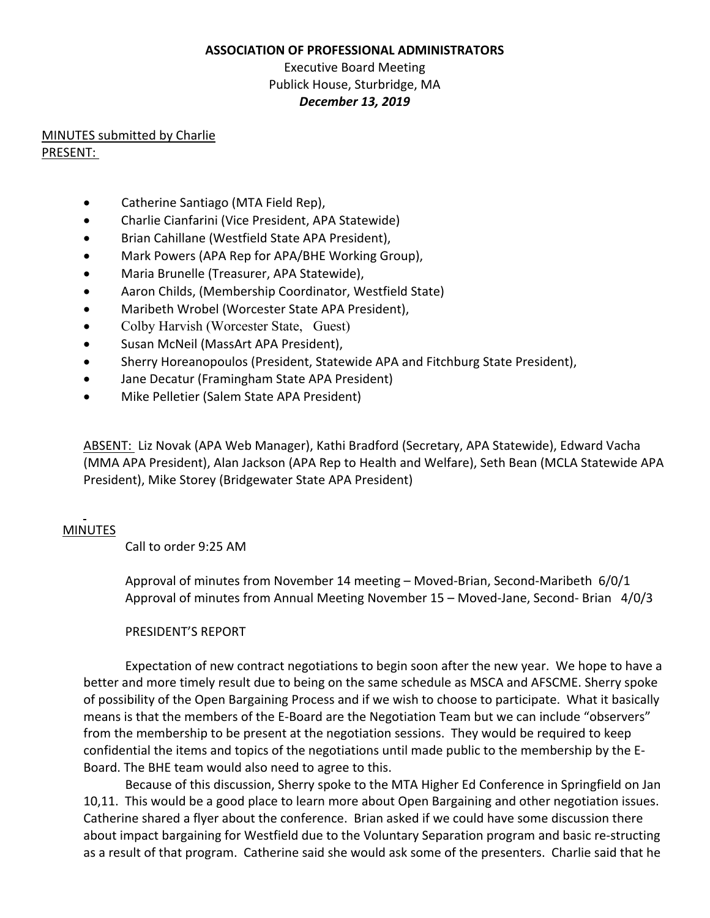#### **ASSOCIATION OF PROFESSIONAL ADMINISTRATORS**

# Executive Board Meeting Publick House, Sturbridge, MA *December 13, 2019*

# MINUTES submitted by Charlie PRESENT:

- Catherine Santiago (MTA Field Rep),
- Charlie Cianfarini (Vice President, APA Statewide)
- Brian Cahillane (Westfield State APA President),
- Mark Powers (APA Rep for APA/BHE Working Group),
- Maria Brunelle (Treasurer, APA Statewide),
- Aaron Childs, (Membership Coordinator, Westfield State)
- Maribeth Wrobel (Worcester State APA President),
- Colby Harvish (Worcester State, Guest)
- Susan McNeil (MassArt APA President),
- Sherry Horeanopoulos (President, Statewide APA and Fitchburg State President),
- Jane Decatur (Framingham State APA President)
- Mike Pelletier (Salem State APA President)

ABSENT: Liz Novak (APA Web Manager), Kathi Bradford (Secretary, APA Statewide), Edward Vacha (MMA APA President), Alan Jackson (APA Rep to Health and Welfare), Seth Bean (MCLA Statewide APA President), Mike Storey (Bridgewater State APA President)

# MINUTES

Call to order 9:25 AM

Approval of minutes from November 14 meeting – Moved-Brian, Second-Maribeth 6/0/1 Approval of minutes from Annual Meeting November 15 – Moved-Jane, Second- Brian 4/0/3

# PRESIDENT'S REPORT

Expectation of new contract negotiations to begin soon after the new year. We hope to have a better and more timely result due to being on the same schedule as MSCA and AFSCME. Sherry spoke of possibility of the Open Bargaining Process and if we wish to choose to participate. What it basically means is that the members of the E-Board are the Negotiation Team but we can include "observers" from the membership to be present at the negotiation sessions. They would be required to keep confidential the items and topics of the negotiations until made public to the membership by the E-Board. The BHE team would also need to agree to this.

Because of this discussion, Sherry spoke to the MTA Higher Ed Conference in Springfield on Jan 10,11. This would be a good place to learn more about Open Bargaining and other negotiation issues. Catherine shared a flyer about the conference. Brian asked if we could have some discussion there about impact bargaining for Westfield due to the Voluntary Separation program and basic re-structing as a result of that program. Catherine said she would ask some of the presenters. Charlie said that he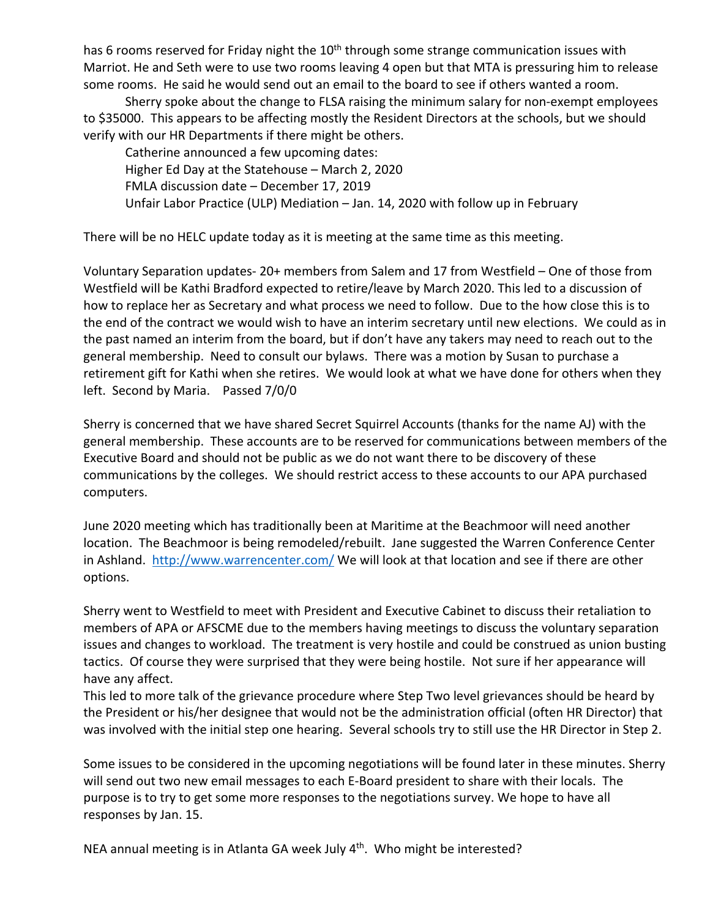has 6 rooms reserved for Friday night the 10<sup>th</sup> through some strange communication issues with Marriot. He and Seth were to use two rooms leaving 4 open but that MTA is pressuring him to release some rooms. He said he would send out an email to the board to see if others wanted a room.

Sherry spoke about the change to FLSA raising the minimum salary for non-exempt employees to \$35000. This appears to be affecting mostly the Resident Directors at the schools, but we should verify with our HR Departments if there might be others.

Catherine announced a few upcoming dates: Higher Ed Day at the Statehouse – March 2, 2020 FMLA discussion date – December 17, 2019 Unfair Labor Practice (ULP) Mediation – Jan. 14, 2020 with follow up in February

There will be no HELC update today as it is meeting at the same time as this meeting.

Voluntary Separation updates- 20+ members from Salem and 17 from Westfield – One of those from Westfield will be Kathi Bradford expected to retire/leave by March 2020. This led to a discussion of how to replace her as Secretary and what process we need to follow. Due to the how close this is to the end of the contract we would wish to have an interim secretary until new elections. We could as in the past named an interim from the board, but if don't have any takers may need to reach out to the general membership. Need to consult our bylaws. There was a motion by Susan to purchase a retirement gift for Kathi when she retires. We would look at what we have done for others when they left. Second by Maria. Passed 7/0/0

Sherry is concerned that we have shared Secret Squirrel Accounts (thanks for the name AJ) with the general membership. These accounts are to be reserved for communications between members of the Executive Board and should not be public as we do not want there to be discovery of these communications by the colleges. We should restrict access to these accounts to our APA purchased computers.

June 2020 meeting which has traditionally been at Maritime at the Beachmoor will need another location. The Beachmoor is being remodeled/rebuilt. Jane suggested the Warren Conference Center in Ashland. http://www.warrencenter.com/ We will look at that location and see if there are other options.

Sherry went to Westfield to meet with President and Executive Cabinet to discuss their retaliation to members of APA or AFSCME due to the members having meetings to discuss the voluntary separation issues and changes to workload. The treatment is very hostile and could be construed as union busting tactics. Of course they were surprised that they were being hostile. Not sure if her appearance will have any affect.

This led to more talk of the grievance procedure where Step Two level grievances should be heard by the President or his/her designee that would not be the administration official (often HR Director) that was involved with the initial step one hearing. Several schools try to still use the HR Director in Step 2.

Some issues to be considered in the upcoming negotiations will be found later in these minutes. Sherry will send out two new email messages to each E-Board president to share with their locals. The purpose is to try to get some more responses to the negotiations survey. We hope to have all responses by Jan. 15.

NEA annual meeting is in Atlanta GA week July 4<sup>th</sup>. Who might be interested?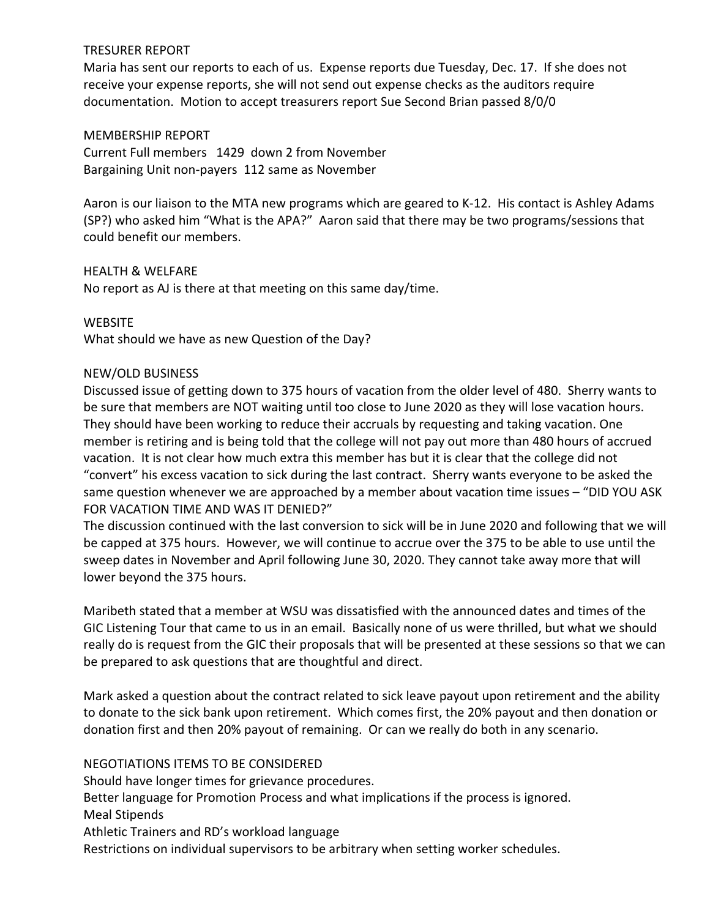# TRESURER REPORT

Maria has sent our reports to each of us. Expense reports due Tuesday, Dec. 17. If she does not receive your expense reports, she will not send out expense checks as the auditors require documentation. Motion to accept treasurers report Sue Second Brian passed 8/0/0

#### MEMBERSHIP REPORT

Current Full members 1429 down 2 from November Bargaining Unit non-payers 112 same as November

Aaron is our liaison to the MTA new programs which are geared to K-12. His contact is Ashley Adams (SP?) who asked him "What is the APA?" Aaron said that there may be two programs/sessions that could benefit our members.

## HEALTH & WELFARE

No report as AJ is there at that meeting on this same day/time.

## **WEBSITE**

What should we have as new Question of the Day?

## NEW/OLD BUSINESS

Discussed issue of getting down to 375 hours of vacation from the older level of 480. Sherry wants to be sure that members are NOT waiting until too close to June 2020 as they will lose vacation hours. They should have been working to reduce their accruals by requesting and taking vacation. One member is retiring and is being told that the college will not pay out more than 480 hours of accrued vacation. It is not clear how much extra this member has but it is clear that the college did not "convert" his excess vacation to sick during the last contract. Sherry wants everyone to be asked the same question whenever we are approached by a member about vacation time issues – "DID YOU ASK FOR VACATION TIME AND WAS IT DENIED?"

The discussion continued with the last conversion to sick will be in June 2020 and following that we will be capped at 375 hours. However, we will continue to accrue over the 375 to be able to use until the sweep dates in November and April following June 30, 2020. They cannot take away more that will lower beyond the 375 hours.

Maribeth stated that a member at WSU was dissatisfied with the announced dates and times of the GIC Listening Tour that came to us in an email. Basically none of us were thrilled, but what we should really do is request from the GIC their proposals that will be presented at these sessions so that we can be prepared to ask questions that are thoughtful and direct.

Mark asked a question about the contract related to sick leave payout upon retirement and the ability to donate to the sick bank upon retirement. Which comes first, the 20% payout and then donation or donation first and then 20% payout of remaining. Or can we really do both in any scenario.

NEGOTIATIONS ITEMS TO BE CONSIDERED Should have longer times for grievance procedures. Better language for Promotion Process and what implications if the process is ignored. Meal Stipends Athletic Trainers and RD's workload language Restrictions on individual supervisors to be arbitrary when setting worker schedules.